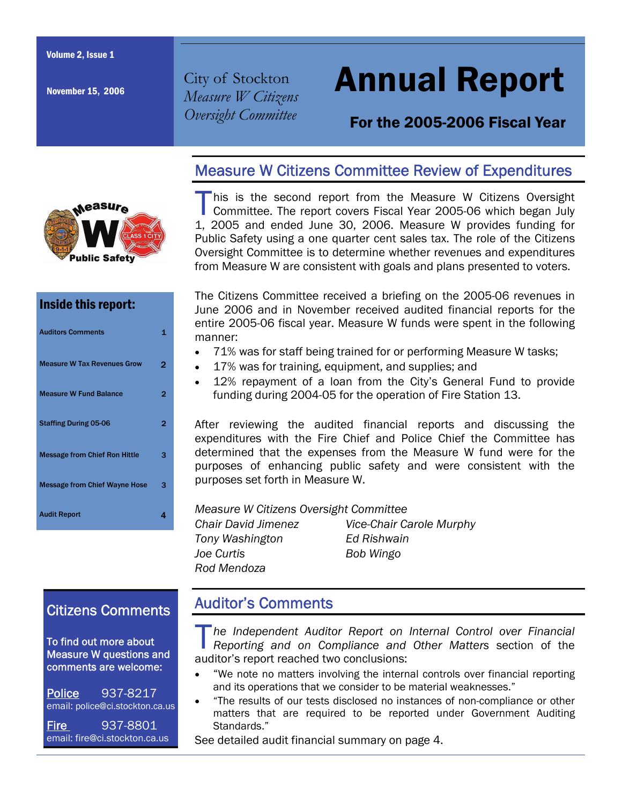November 15, 2006

City of Stockton *Measure W Citizens Oversight Committee* 

# Annual Report

# For the 2005-2006 Fiscal Year



### Inside this report:

| <b>Auditors Comments</b>             |   |
|--------------------------------------|---|
| <b>Measure W Tax Revenues Grow</b>   | 2 |
| <b>Measure W Fund Balance</b>        | 2 |
| <b>Staffing During 05-06</b>         | 2 |
| <b>Message from Chief Ron Hittle</b> | з |
| <b>Message from Chief Wayne Hose</b> | 3 |
| <b>Audit Report</b>                  | 4 |

# Measure W Citizens Committee Review of Expenditures

This is the second report from the Measure W Citizens Oversight Committee. The report covers Fiscal Year 2005-06 which began July 1, 2005 and ended June 30, 2006. Measure W provides funding for Public Safety using a one quarter cent sales tax. The role of the Citizens Oversight Committee is to determine whether revenues and expenditures from Measure W are consistent with goals and plans presented to voters.

The Citizens Committee received a briefing on the 2005-06 revenues in June 2006 and in November received audited financial reports for the entire 2005-06 fiscal year. Measure W funds were spent in the following manner:

- 71% was for staff being trained for or performing Measure W tasks;
- 17% was for training, equipment, and supplies; and
- 12% repayment of a loan from the City's General Fund to provide funding during 2004-05 for the operation of Fire Station 13.

After reviewing the audited financial reports and discussing the expenditures with the Fire Chief and Police Chief the Committee has determined that the expenses from the Measure W fund were for the purposes of enhancing public safety and were consistent with the purposes set forth in Measure W.

*Measure W Citizens Oversight Committee* 

*Tony Washington Ed Rishwain Joe Curtis Bob Wingo Rod Mendoza* 

*Chair David Jimenez Vice-Chair Carole Murphy* 

# Citizens Comments

To find out more about Measure W questions and comments are welcome:

Police 937-8217 email: police@ci.stockton.ca.us

Fire 937-8801 email: fire@ci.stockton.ca.us

# Auditor's Comments

T*he Independent Auditor Report on Internal Control over Financial Reporting and on Compliance and Other Matters* section of the auditor's report reached two conclusions:

- "We note no matters involving the internal controls over financial reporting and its operations that we consider to be material weaknesses."
- "The results of our tests disclosed no instances of non-compliance or other matters that are required to be reported under Government Auditing Standards."

See detailed audit financial summary on page 4.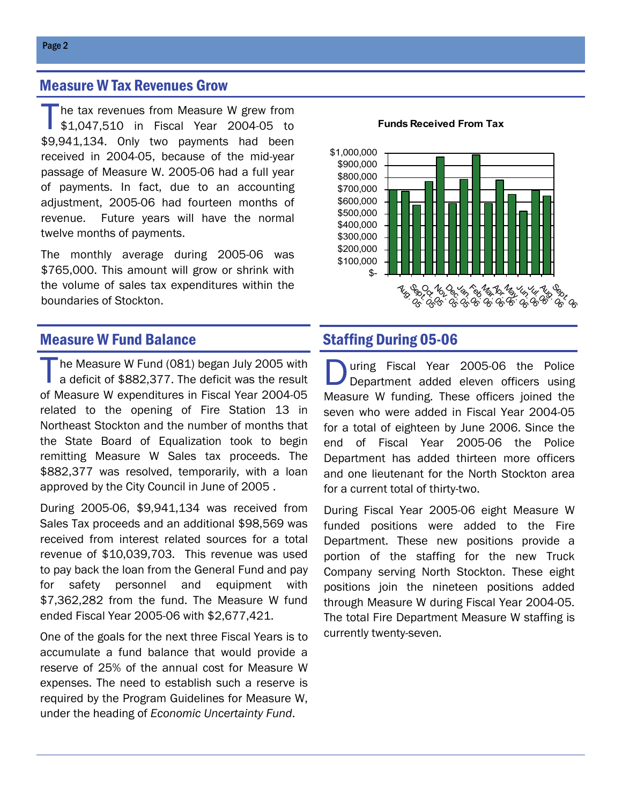### Measure W Tax Revenues Grow

The tax revenues from Measure W grew from \$1,047,510 in Fiscal Year 2004-05 to \$9,941,134. Only two payments had been received in 2004-05, because of the mid-year passage of Measure W. 2005-06 had a full year of payments. In fact, due to an accounting adjustment, 2005-06 had fourteen months of revenue. Future years will have the normal twelve months of payments.

The monthly average during 2005-06 was \$765,000. This amount will grow or shrink with the volume of sales tax expenditures within the boundaries of Stockton.

#### **Funds Received From Tax**



#### **Measure W Fund Balance Staffing During 05-06**

The Measure W Fund (081) began July 2005 with a deficit of \$882,377. The deficit was the result of Measure W expenditures in Fiscal Year 2004-05 related to the opening of Fire Station 13 in Northeast Stockton and the number of months that the State Board of Equalization took to begin remitting Measure W Sales tax proceeds. The \$882,377 was resolved, temporarily, with a loan approved by the City Council in June of 2005 .

During 2005-06, \$9,941,134 was received from Sales Tax proceeds and an additional \$98,569 was received from interest related sources for a total revenue of \$10,039,703. This revenue was used to pay back the loan from the General Fund and pay for safety personnel and equipment with \$7,362,282 from the fund. The Measure W fund ended Fiscal Year 2005-06 with \$2,677,421.

One of the goals for the next three Fiscal Years is to accumulate a fund balance that would provide a reserve of 25% of the annual cost for Measure W expenses. The need to establish such a reserve is required by the Program Guidelines for Measure W, under the heading of *Economic Uncertainty Fund*.

During Fiscal Year 2005-06 the Police<br>Department added eleven officers using Measure W funding. These officers joined the seven who were added in Fiscal Year 2004-05 for a total of eighteen by June 2006. Since the end of Fiscal Year 2005-06 the Police Department has added thirteen more officers and one lieutenant for the North Stockton area for a current total of thirty-two.

During Fiscal Year 2005-06 eight Measure W funded positions were added to the Fire Department. These new positions provide a portion of the staffing for the new Truck Company serving North Stockton. These eight positions join the nineteen positions added through Measure W during Fiscal Year 2004-05. The total Fire Department Measure W staffing is currently twenty-seven.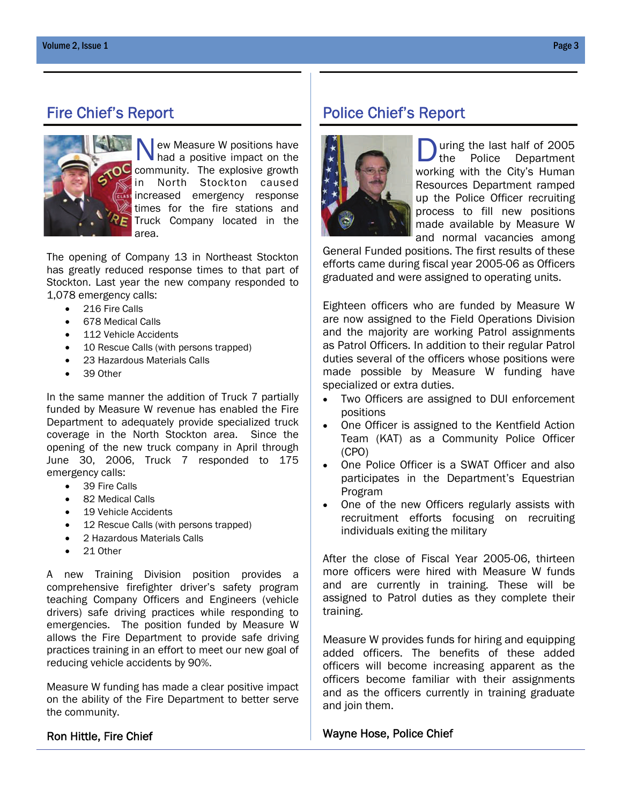

 $\vert$  ew Measure W positions have had a positive impact on the community. The explosive growth in North Stockton caused increased emergency response times for the fire stations and Truck Company located in the area.

The opening of Company 13 in Northeast Stockton has greatly reduced response times to that part of Stockton. Last year the new company responded to 1,078 emergency calls:

- 216 Fire Calls
- 678 Medical Calls
- 112 Vehicle Accidents
- 10 Rescue Calls (with persons trapped)
- 23 Hazardous Materials Calls
- 39 Other

In the same manner the addition of Truck 7 partially funded by Measure W revenue has enabled the Fire Department to adequately provide specialized truck coverage in the North Stockton area. Since the opening of the new truck company in April through June 30, 2006, Truck 7 responded to 175 emergency calls:

- 39 Fire Calls
- 82 Medical Calls
- 19 Vehicle Accidents
- 12 Rescue Calls (with persons trapped)
- 2 Hazardous Materials Calls
- 21 Other

A new Training Division position provides a comprehensive firefighter driver's safety program teaching Company Officers and Engineers (vehicle drivers) safe driving practices while responding to emergencies. The position funded by Measure W allows the Fire Department to provide safe driving practices training in an effort to meet our new goal of reducing vehicle accidents by 90%.

Measure W funding has made a clear positive impact on the ability of the Fire Department to better serve the community.

#### Ron Hittle, Fire Chief

## Fire Chief's Report Police Chief's Report



uring the last half of 2005 the Police Department working with the City's Human Resources Department ramped up the Police Officer recruiting process to fill new positions made available by Measure W and normal vacancies among

General Funded positions. The first results of these efforts came during fiscal year 2005-06 as Officers graduated and were assigned to operating units.

Eighteen officers who are funded by Measure W are now assigned to the Field Operations Division and the majority are working Patrol assignments as Patrol Officers. In addition to their regular Patrol duties several of the officers whose positions were made possible by Measure W funding have specialized or extra duties.

- Two Officers are assigned to DUI enforcement positions
- One Officer is assigned to the Kentfield Action Team (KAT) as a Community Police Officer (CPO)
- One Police Officer is a SWAT Officer and also participates in the Department's Equestrian Program
- One of the new Officers regularly assists with recruitment efforts focusing on recruiting individuals exiting the military

After the close of Fiscal Year 2005-06, thirteen more officers were hired with Measure W funds and are currently in training. These will be assigned to Patrol duties as they complete their training.

Measure W provides funds for hiring and equipping added officers. The benefits of these added officers will become increasing apparent as the officers become familiar with their assignments and as the officers currently in training graduate and join them.

#### Wayne Hose, Police Chief